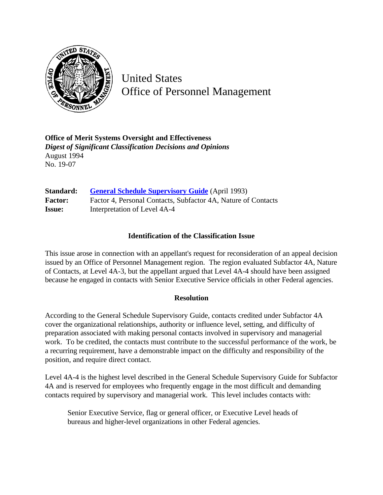

United States Office of Personnel Management

**Office of Merit Systems Oversight and Effectiveness** *Digest of Significant Classification Decisions and Opinions* August 1994 No. 19-07

**Standard:** [General Schedule Supervisory Guide](http://www.opm.gov/hr/fedclass/gssg.pdf) (April 1993) Factor: Factor 4, Personal Contacts, Subfactor 4A, Nature of Contacts **Issue:** Interpretation of Level 4A-4

## **Identification of the Classification Issue**

This issue arose in connection with an appellant's request for reconsideration of an appeal decision issued by an Office of Personnel Management region. The region evaluated Subfactor 4A, Nature of Contacts, at Level 4A-3, but the appellant argued that Level 4A-4 should have been assigned because he engaged in contacts with Senior Executive Service officials in other Federal agencies.

## **Resolution**

According to the General Schedule Supervisory Guide, contacts credited under Subfactor 4A cover the organizational relationships, authority or influence level, setting, and difficulty of preparation associated with making personal contacts involved in supervisory and managerial work. To be credited, the contacts must contribute to the successful performance of the work, be a recurring requirement, have a demonstrable impact on the difficulty and responsibility of the position, and require direct contact.

Level 4A-4 is the highest level described in the General Schedule Supervisory Guide for Subfactor 4A and is reserved for employees who frequently engage in the most difficult and demanding contacts required by supervisory and managerial work. This level includes contacts with:

Senior Executive Service, flag or general officer, or Executive Level heads of bureaus and higher-level organizations in other Federal agencies.